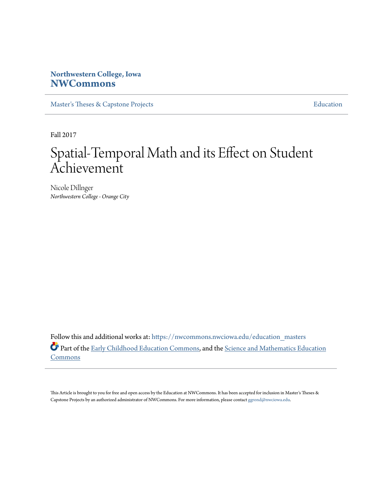# **Northwestern College, Iowa [NWCommons](https://nwcommons.nwciowa.edu?utm_source=nwcommons.nwciowa.edu%2Feducation_masters%2F70&utm_medium=PDF&utm_campaign=PDFCoverPages)**

[Master's Theses & Capstone Projects](https://nwcommons.nwciowa.edu/education_masters?utm_source=nwcommons.nwciowa.edu%2Feducation_masters%2F70&utm_medium=PDF&utm_campaign=PDFCoverPages) **[Education](https://nwcommons.nwciowa.edu/education?utm_source=nwcommons.nwciowa.edu%2Feducation_masters%2F70&utm_medium=PDF&utm_campaign=PDFCoverPages)** 

Fall 2017

# Spatial-Temporal Math and its Effect on Student Achievement

Nicole Dillnger *Northwestern College - Orange City*

Follow this and additional works at: [https://nwcommons.nwciowa.edu/education\\_masters](https://nwcommons.nwciowa.edu/education_masters?utm_source=nwcommons.nwciowa.edu%2Feducation_masters%2F70&utm_medium=PDF&utm_campaign=PDFCoverPages) Part of the [Early Childhood Education Commons,](http://network.bepress.com/hgg/discipline/1377?utm_source=nwcommons.nwciowa.edu%2Feducation_masters%2F70&utm_medium=PDF&utm_campaign=PDFCoverPages) and the [Science and Mathematics Education](http://network.bepress.com/hgg/discipline/800?utm_source=nwcommons.nwciowa.edu%2Feducation_masters%2F70&utm_medium=PDF&utm_campaign=PDFCoverPages) [Commons](http://network.bepress.com/hgg/discipline/800?utm_source=nwcommons.nwciowa.edu%2Feducation_masters%2F70&utm_medium=PDF&utm_campaign=PDFCoverPages)

This Article is brought to you for free and open access by the Education at NWCommons. It has been accepted for inclusion in Master's Theses & Capstone Projects by an authorized administrator of NWCommons. For more information, please contact [ggrond@nwciowa.edu.](mailto:ggrond@nwciowa.edu)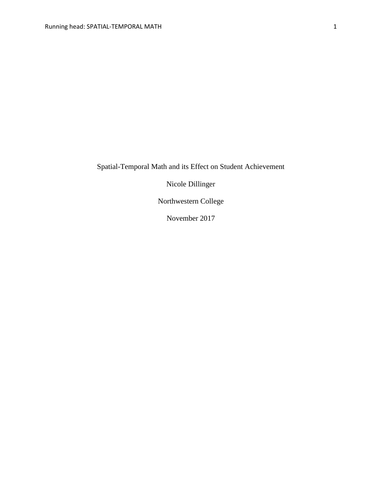Spatial-Temporal Math and its Effect on Student Achievement

Nicole Dillinger

Northwestern College

November 2017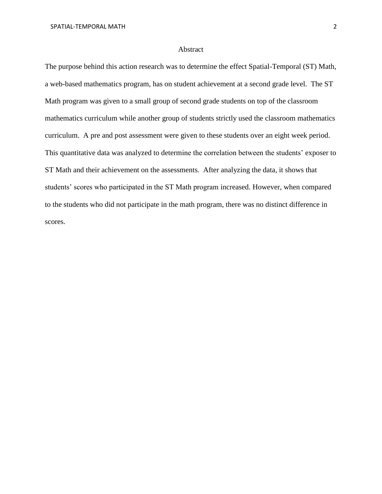#### Abstract

The purpose behind this action research was to determine the effect Spatial-Temporal (ST) Math, a web-based mathematics program, has on student achievement at a second grade level. The ST Math program was given to a small group of second grade students on top of the classroom mathematics curriculum while another group of students strictly used the classroom mathematics curriculum. A pre and post assessment were given to these students over an eight week period. This quantitative data was analyzed to determine the correlation between the students' exposer to ST Math and their achievement on the assessments. After analyzing the data, it shows that students' scores who participated in the ST Math program increased. However, when compared to the students who did not participate in the math program, there was no distinct difference in scores.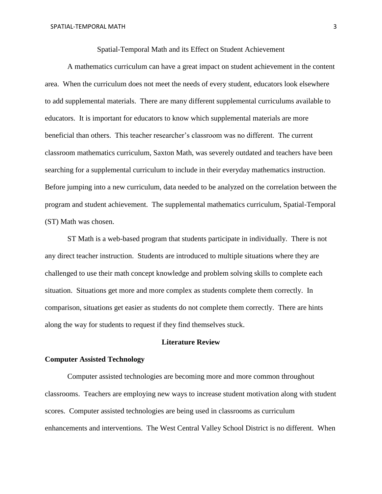# Spatial-Temporal Math and its Effect on Student Achievement

A mathematics curriculum can have a great impact on student achievement in the content area. When the curriculum does not meet the needs of every student, educators look elsewhere to add supplemental materials. There are many different supplemental curriculums available to educators. It is important for educators to know which supplemental materials are more beneficial than others. This teacher researcher's classroom was no different. The current classroom mathematics curriculum, Saxton Math, was severely outdated and teachers have been searching for a supplemental curriculum to include in their everyday mathematics instruction. Before jumping into a new curriculum, data needed to be analyzed on the correlation between the program and student achievement. The supplemental mathematics curriculum, Spatial-Temporal (ST) Math was chosen.

ST Math is a web-based program that students participate in individually. There is not any direct teacher instruction. Students are introduced to multiple situations where they are challenged to use their math concept knowledge and problem solving skills to complete each situation. Situations get more and more complex as students complete them correctly. In comparison, situations get easier as students do not complete them correctly. There are hints along the way for students to request if they find themselves stuck.

# **Literature Review**

### **Computer Assisted Technology**

Computer assisted technologies are becoming more and more common throughout classrooms. Teachers are employing new ways to increase student motivation along with student scores. Computer assisted technologies are being used in classrooms as curriculum enhancements and interventions. The West Central Valley School District is no different. When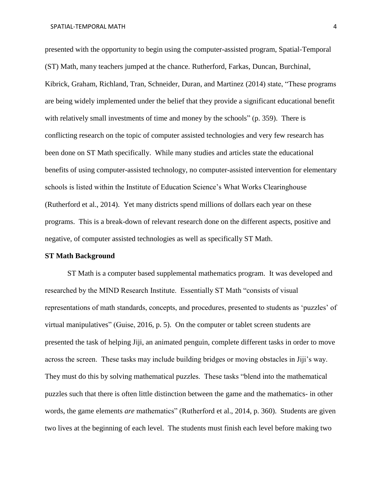presented with the opportunity to begin using the computer-assisted program, Spatial-Temporal (ST) Math, many teachers jumped at the chance. Rutherford, Farkas, Duncan, Burchinal, Kibrick, Graham, Richland, Tran, Schneider, Duran, and Martinez (2014) state, "These programs are being widely implemented under the belief that they provide a significant educational benefit with relatively small investments of time and money by the schools" (p. 359). There is conflicting research on the topic of computer assisted technologies and very few research has been done on ST Math specifically. While many studies and articles state the educational benefits of using computer-assisted technology, no computer-assisted intervention for elementary schools is listed within the Institute of Education Science's What Works Clearinghouse (Rutherford et al., 2014). Yet many districts spend millions of dollars each year on these programs. This is a break-down of relevant research done on the different aspects, positive and negative, of computer assisted technologies as well as specifically ST Math.

#### **ST Math Background**

ST Math is a computer based supplemental mathematics program. It was developed and researched by the MIND Research Institute. Essentially ST Math "consists of visual representations of math standards, concepts, and procedures, presented to students as 'puzzles' of virtual manipulatives" (Guise, 2016, p. 5). On the computer or tablet screen students are presented the task of helping Jiji, an animated penguin, complete different tasks in order to move across the screen. These tasks may include building bridges or moving obstacles in Jiji's way. They must do this by solving mathematical puzzles. These tasks "blend into the mathematical puzzles such that there is often little distinction between the game and the mathematics- in other words, the game elements *are* mathematics" (Rutherford et al., 2014, p. 360). Students are given two lives at the beginning of each level. The students must finish each level before making two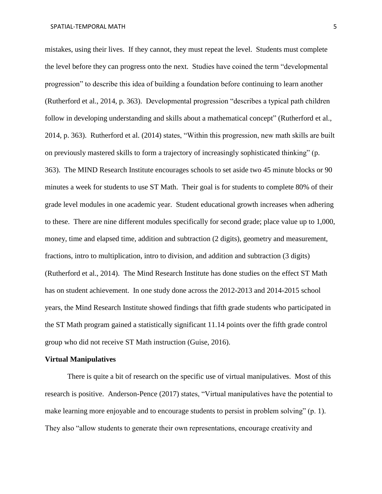mistakes, using their lives. If they cannot, they must repeat the level. Students must complete the level before they can progress onto the next. Studies have coined the term "developmental progression" to describe this idea of building a foundation before continuing to learn another (Rutherford et al., 2014, p. 363). Developmental progression "describes a typical path children follow in developing understanding and skills about a mathematical concept" (Rutherford et al., 2014, p. 363). Rutherford et al. (2014) states, "Within this progression, new math skills are built on previously mastered skills to form a trajectory of increasingly sophisticated thinking" (p. 363). The MIND Research Institute encourages schools to set aside two 45 minute blocks or 90 minutes a week for students to use ST Math. Their goal is for students to complete 80% of their grade level modules in one academic year. Student educational growth increases when adhering to these. There are nine different modules specifically for second grade; place value up to 1,000, money, time and elapsed time, addition and subtraction (2 digits), geometry and measurement, fractions, intro to multiplication, intro to division, and addition and subtraction (3 digits) (Rutherford et al., 2014). The Mind Research Institute has done studies on the effect ST Math has on student achievement. In one study done across the 2012-2013 and 2014-2015 school years, the Mind Research Institute showed findings that fifth grade students who participated in the ST Math program gained a statistically significant 11.14 points over the fifth grade control group who did not receive ST Math instruction (Guise, 2016).

#### **Virtual Manipulatives**

There is quite a bit of research on the specific use of virtual manipulatives. Most of this research is positive. Anderson-Pence (2017) states, "Virtual manipulatives have the potential to make learning more enjoyable and to encourage students to persist in problem solving" (p. 1). They also "allow students to generate their own representations, encourage creativity and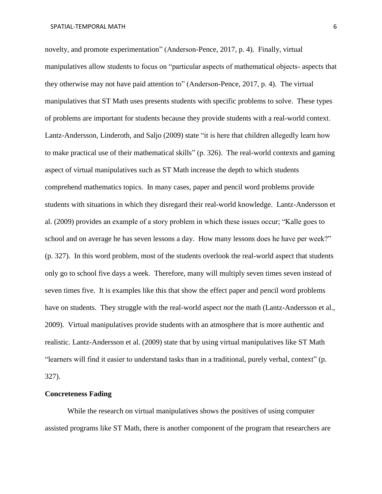novelty, and promote experimentation" (Anderson-Pence, 2017, p. 4). Finally, virtual manipulatives allow students to focus on "particular aspects of mathematical objects- aspects that they otherwise may not have paid attention to" (Anderson-Pence, 2017, p. 4). The virtual manipulatives that ST Math uses presents students with specific problems to solve. These types of problems are important for students because they provide students with a real-world context. Lantz-Andersson, Linderoth, and Saljo (2009) state "it is here that children allegedly learn how to make practical use of their mathematical skills" (p. 326). The real-world contexts and gaming aspect of virtual manipulatives such as ST Math increase the depth to which students comprehend mathematics topics. In many cases, paper and pencil word problems provide students with situations in which they disregard their real-world knowledge. Lantz-Andersson et al. (2009) provides an example of a story problem in which these issues occur; "Kalle goes to school and on average he has seven lessons a day. How many lessons does he have per week?" (p. 327). In this word problem, most of the students overlook the real-world aspect that students only go to school five days a week. Therefore, many will multiply seven times seven instead of seven times five. It is examples like this that show the effect paper and pencil word problems have on students. They struggle with the real-world aspect *not* the math (Lantz-Andersson et al., 2009). Virtual manipulatives provide students with an atmosphere that is more authentic and realistic. Lantz-Andersson et al. (2009) state that by using virtual manipulatives like ST Math "learners will find it easier to understand tasks than in a traditional, purely verbal, context" (p. 327).

#### **Concreteness Fading**

While the research on virtual manipulatives shows the positives of using computer assisted programs like ST Math, there is another component of the program that researchers are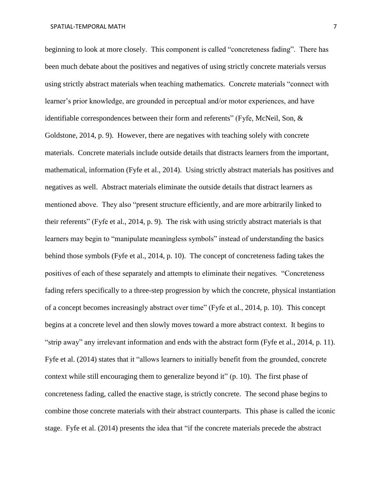beginning to look at more closely. This component is called "concreteness fading". There has been much debate about the positives and negatives of using strictly concrete materials versus using strictly abstract materials when teaching mathematics. Concrete materials "connect with learner's prior knowledge, are grounded in perceptual and/or motor experiences, and have identifiable correspondences between their form and referents" (Fyfe, McNeil, Son, & Goldstone, 2014, p. 9). However, there are negatives with teaching solely with concrete materials. Concrete materials include outside details that distracts learners from the important, mathematical, information (Fyfe et al., 2014). Using strictly abstract materials has positives and negatives as well. Abstract materials eliminate the outside details that distract learners as mentioned above. They also "present structure efficiently, and are more arbitrarily linked to their referents" (Fyfe et al., 2014, p. 9). The risk with using strictly abstract materials is that learners may begin to "manipulate meaningless symbols" instead of understanding the basics behind those symbols (Fyfe et al., 2014, p. 10). The concept of concreteness fading takes the positives of each of these separately and attempts to eliminate their negatives. "Concreteness fading refers specifically to a three-step progression by which the concrete, physical instantiation of a concept becomes increasingly abstract over time" (Fyfe et al., 2014, p. 10). This concept begins at a concrete level and then slowly moves toward a more abstract context. It begins to "strip away" any irrelevant information and ends with the abstract form (Fyfe et al., 2014, p. 11). Fyfe et al. (2014) states that it "allows learners to initially benefit from the grounded, concrete context while still encouraging them to generalize beyond it" (p. 10). The first phase of concreteness fading, called the enactive stage, is strictly concrete. The second phase begins to combine those concrete materials with their abstract counterparts. This phase is called the iconic stage. Fyfe et al. (2014) presents the idea that "if the concrete materials precede the abstract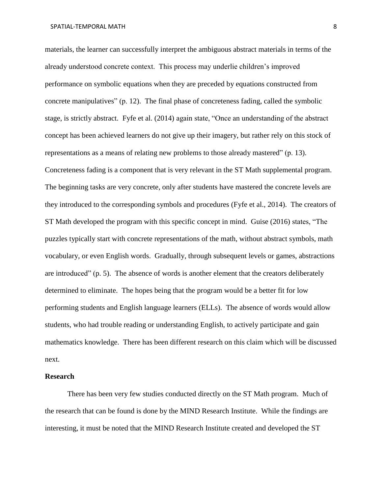materials, the learner can successfully interpret the ambiguous abstract materials in terms of the already understood concrete context. This process may underlie children's improved performance on symbolic equations when they are preceded by equations constructed from concrete manipulatives" (p. 12). The final phase of concreteness fading, called the symbolic stage, is strictly abstract. Fyfe et al. (2014) again state, "Once an understanding of the abstract concept has been achieved learners do not give up their imagery, but rather rely on this stock of representations as a means of relating new problems to those already mastered" (p. 13). Concreteness fading is a component that is very relevant in the ST Math supplemental program. The beginning tasks are very concrete, only after students have mastered the concrete levels are they introduced to the corresponding symbols and procedures (Fyfe et al., 2014). The creators of ST Math developed the program with this specific concept in mind. Guise (2016) states, "The puzzles typically start with concrete representations of the math, without abstract symbols, math vocabulary, or even English words. Gradually, through subsequent levels or games, abstractions are introduced" (p. 5). The absence of words is another element that the creators deliberately determined to eliminate. The hopes being that the program would be a better fit for low performing students and English language learners (ELLs). The absence of words would allow students, who had trouble reading or understanding English, to actively participate and gain mathematics knowledge. There has been different research on this claim which will be discussed next.

# **Research**

There has been very few studies conducted directly on the ST Math program. Much of the research that can be found is done by the MIND Research Institute. While the findings are interesting, it must be noted that the MIND Research Institute created and developed the ST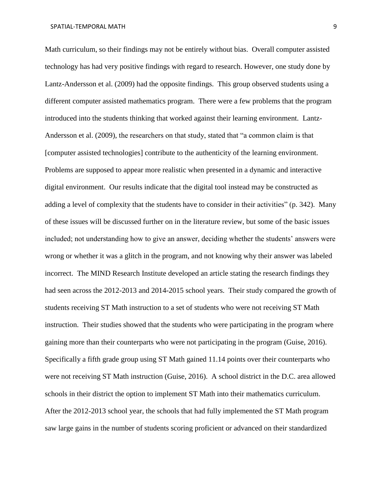Math curriculum, so their findings may not be entirely without bias. Overall computer assisted technology has had very positive findings with regard to research. However, one study done by Lantz-Andersson et al. (2009) had the opposite findings. This group observed students using a different computer assisted mathematics program. There were a few problems that the program introduced into the students thinking that worked against their learning environment. Lantz-Andersson et al. (2009), the researchers on that study, stated that "a common claim is that [computer assisted technologies] contribute to the authenticity of the learning environment. Problems are supposed to appear more realistic when presented in a dynamic and interactive digital environment. Our results indicate that the digital tool instead may be constructed as adding a level of complexity that the students have to consider in their activities" (p. 342). Many of these issues will be discussed further on in the literature review, but some of the basic issues included; not understanding how to give an answer, deciding whether the students' answers were wrong or whether it was a glitch in the program, and not knowing why their answer was labeled incorrect. The MIND Research Institute developed an article stating the research findings they had seen across the 2012-2013 and 2014-2015 school years. Their study compared the growth of students receiving ST Math instruction to a set of students who were not receiving ST Math instruction. Their studies showed that the students who were participating in the program where gaining more than their counterparts who were not participating in the program (Guise, 2016). Specifically a fifth grade group using ST Math gained 11.14 points over their counterparts who were not receiving ST Math instruction (Guise, 2016). A school district in the D.C. area allowed schools in their district the option to implement ST Math into their mathematics curriculum. After the 2012-2013 school year, the schools that had fully implemented the ST Math program saw large gains in the number of students scoring proficient or advanced on their standardized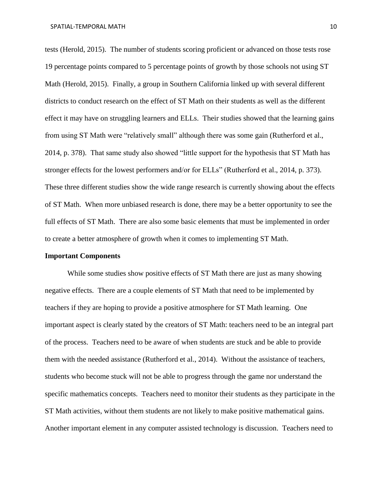tests (Herold, 2015). The number of students scoring proficient or advanced on those tests rose 19 percentage points compared to 5 percentage points of growth by those schools not using ST Math (Herold, 2015). Finally, a group in Southern California linked up with several different districts to conduct research on the effect of ST Math on their students as well as the different effect it may have on struggling learners and ELLs. Their studies showed that the learning gains from using ST Math were "relatively small" although there was some gain (Rutherford et al., 2014, p. 378). That same study also showed "little support for the hypothesis that ST Math has stronger effects for the lowest performers and/or for ELLs" (Rutherford et al., 2014, p. 373). These three different studies show the wide range research is currently showing about the effects of ST Math. When more unbiased research is done, there may be a better opportunity to see the full effects of ST Math. There are also some basic elements that must be implemented in order to create a better atmosphere of growth when it comes to implementing ST Math.

#### **Important Components**

While some studies show positive effects of ST Math there are just as many showing negative effects. There are a couple elements of ST Math that need to be implemented by teachers if they are hoping to provide a positive atmosphere for ST Math learning. One important aspect is clearly stated by the creators of ST Math: teachers need to be an integral part of the process. Teachers need to be aware of when students are stuck and be able to provide them with the needed assistance (Rutherford et al., 2014). Without the assistance of teachers, students who become stuck will not be able to progress through the game nor understand the specific mathematics concepts. Teachers need to monitor their students as they participate in the ST Math activities, without them students are not likely to make positive mathematical gains. Another important element in any computer assisted technology is discussion. Teachers need to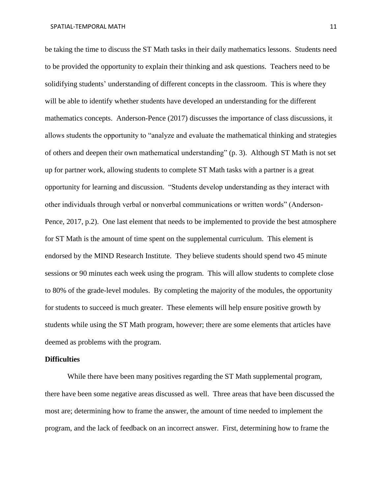be taking the time to discuss the ST Math tasks in their daily mathematics lessons. Students need to be provided the opportunity to explain their thinking and ask questions. Teachers need to be solidifying students' understanding of different concepts in the classroom. This is where they will be able to identify whether students have developed an understanding for the different mathematics concepts. Anderson-Pence (2017) discusses the importance of class discussions, it allows students the opportunity to "analyze and evaluate the mathematical thinking and strategies of others and deepen their own mathematical understanding" (p. 3). Although ST Math is not set up for partner work, allowing students to complete ST Math tasks with a partner is a great opportunity for learning and discussion. "Students develop understanding as they interact with other individuals through verbal or nonverbal communications or written words" (Anderson-Pence, 2017, p.2). One last element that needs to be implemented to provide the best atmosphere for ST Math is the amount of time spent on the supplemental curriculum. This element is endorsed by the MIND Research Institute. They believe students should spend two 45 minute sessions or 90 minutes each week using the program. This will allow students to complete close to 80% of the grade-level modules. By completing the majority of the modules, the opportunity for students to succeed is much greater. These elements will help ensure positive growth by students while using the ST Math program, however; there are some elements that articles have deemed as problems with the program.

### **Difficulties**

While there have been many positives regarding the ST Math supplemental program, there have been some negative areas discussed as well. Three areas that have been discussed the most are; determining how to frame the answer, the amount of time needed to implement the program, and the lack of feedback on an incorrect answer. First, determining how to frame the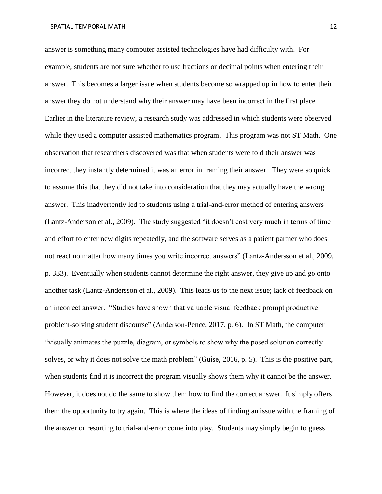answer is something many computer assisted technologies have had difficulty with. For example, students are not sure whether to use fractions or decimal points when entering their answer. This becomes a larger issue when students become so wrapped up in how to enter their answer they do not understand why their answer may have been incorrect in the first place. Earlier in the literature review, a research study was addressed in which students were observed while they used a computer assisted mathematics program. This program was not ST Math. One observation that researchers discovered was that when students were told their answer was incorrect they instantly determined it was an error in framing their answer. They were so quick to assume this that they did not take into consideration that they may actually have the wrong answer. This inadvertently led to students using a trial-and-error method of entering answers (Lantz-Anderson et al., 2009). The study suggested "it doesn't cost very much in terms of time and effort to enter new digits repeatedly, and the software serves as a patient partner who does not react no matter how many times you write incorrect answers" (Lantz-Andersson et al., 2009, p. 333). Eventually when students cannot determine the right answer, they give up and go onto another task (Lantz-Andersson et al., 2009). This leads us to the next issue; lack of feedback on an incorrect answer. "Studies have shown that valuable visual feedback prompt productive problem-solving student discourse" (Anderson-Pence, 2017, p. 6). In ST Math, the computer "visually animates the puzzle, diagram, or symbols to show why the posed solution correctly solves, or why it does not solve the math problem" (Guise, 2016, p. 5). This is the positive part, when students find it is incorrect the program visually shows them why it cannot be the answer. However, it does not do the same to show them how to find the correct answer. It simply offers them the opportunity to try again. This is where the ideas of finding an issue with the framing of the answer or resorting to trial-and-error come into play. Students may simply begin to guess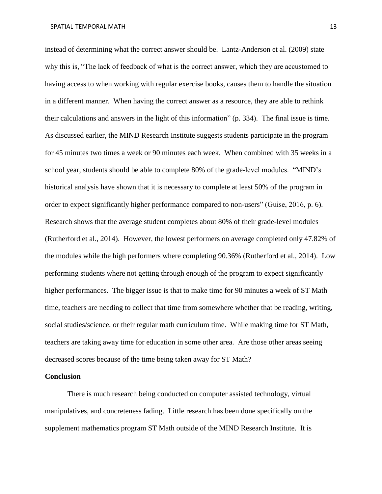instead of determining what the correct answer should be. Lantz-Anderson et al. (2009) state why this is, "The lack of feedback of what is the correct answer, which they are accustomed to having access to when working with regular exercise books, causes them to handle the situation in a different manner. When having the correct answer as a resource, they are able to rethink their calculations and answers in the light of this information" (p. 334). The final issue is time. As discussed earlier, the MIND Research Institute suggests students participate in the program for 45 minutes two times a week or 90 minutes each week. When combined with 35 weeks in a school year, students should be able to complete 80% of the grade-level modules. "MIND's historical analysis have shown that it is necessary to complete at least 50% of the program in order to expect significantly higher performance compared to non-users" (Guise, 2016, p. 6). Research shows that the average student completes about 80% of their grade-level modules (Rutherford et al., 2014). However, the lowest performers on average completed only 47.82% of the modules while the high performers where completing 90.36% (Rutherford et al., 2014). Low performing students where not getting through enough of the program to expect significantly higher performances. The bigger issue is that to make time for 90 minutes a week of ST Math time, teachers are needing to collect that time from somewhere whether that be reading, writing, social studies/science, or their regular math curriculum time. While making time for ST Math, teachers are taking away time for education in some other area. Are those other areas seeing decreased scores because of the time being taken away for ST Math?

# **Conclusion**

There is much research being conducted on computer assisted technology, virtual manipulatives, and concreteness fading. Little research has been done specifically on the supplement mathematics program ST Math outside of the MIND Research Institute. It is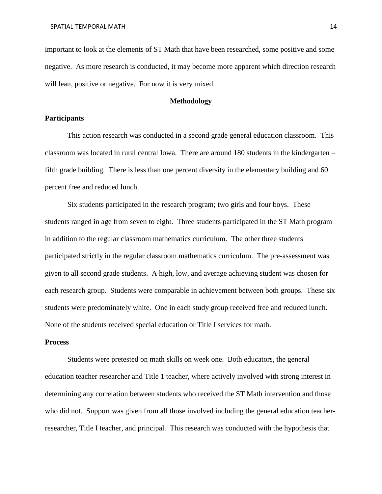important to look at the elements of ST Math that have been researched, some positive and some negative. As more research is conducted, it may become more apparent which direction research will lean, positive or negative. For now it is very mixed.

# **Methodology**

# **Participants**

This action research was conducted in a second grade general education classroom. This classroom was located in rural central Iowa. There are around 180 students in the kindergarten – fifth grade building. There is less than one percent diversity in the elementary building and 60 percent free and reduced lunch.

Six students participated in the research program; two girls and four boys. These students ranged in age from seven to eight. Three students participated in the ST Math program in addition to the regular classroom mathematics curriculum. The other three students participated strictly in the regular classroom mathematics curriculum. The pre-assessment was given to all second grade students. A high, low, and average achieving student was chosen for each research group. Students were comparable in achievement between both groups. These six students were predominately white. One in each study group received free and reduced lunch. None of the students received special education or Title I services for math.

#### **Process**

Students were pretested on math skills on week one. Both educators, the general education teacher researcher and Title 1 teacher, where actively involved with strong interest in determining any correlation between students who received the ST Math intervention and those who did not. Support was given from all those involved including the general education teacherresearcher, Title I teacher, and principal. This research was conducted with the hypothesis that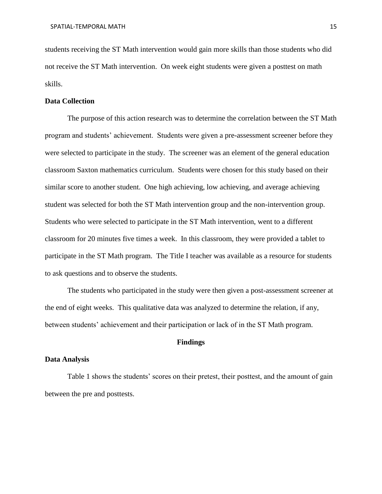students receiving the ST Math intervention would gain more skills than those students who did not receive the ST Math intervention. On week eight students were given a posttest on math skills.

# **Data Collection**

The purpose of this action research was to determine the correlation between the ST Math program and students' achievement. Students were given a pre-assessment screener before they were selected to participate in the study. The screener was an element of the general education classroom Saxton mathematics curriculum. Students were chosen for this study based on their similar score to another student. One high achieving, low achieving, and average achieving student was selected for both the ST Math intervention group and the non-intervention group. Students who were selected to participate in the ST Math intervention, went to a different classroom for 20 minutes five times a week. In this classroom, they were provided a tablet to participate in the ST Math program. The Title I teacher was available as a resource for students to ask questions and to observe the students.

The students who participated in the study were then given a post-assessment screener at the end of eight weeks. This qualitative data was analyzed to determine the relation, if any, between students' achievement and their participation or lack of in the ST Math program.

# **Findings**

# **Data Analysis**

Table 1 shows the students' scores on their pretest, their posttest, and the amount of gain between the pre and posttests.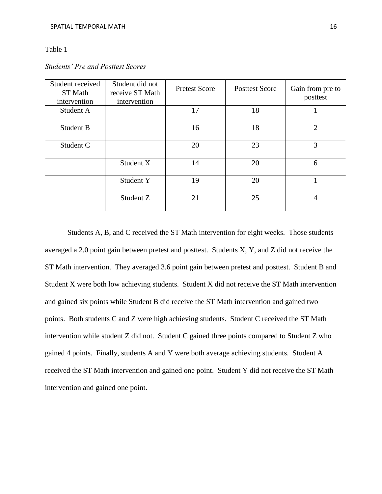# Table 1

| Student received<br>ST Math<br>intervention | Student did not<br>receive ST Math<br>intervention | <b>Pretest Score</b> | <b>Posttest Score</b> | Gain from pre to<br>posttest |
|---------------------------------------------|----------------------------------------------------|----------------------|-----------------------|------------------------------|
| Student A                                   |                                                    | 17                   | 18                    |                              |
| Student B                                   |                                                    | 16                   | 18                    | $\overline{2}$               |
| Student C                                   |                                                    | 20                   | 23                    | 3                            |
|                                             | Student X                                          | 14                   | 20                    | 6                            |
|                                             | Student Y                                          | 19                   | 20                    |                              |
|                                             | Student Z                                          | 21                   | 25                    | 4                            |

# *Students' Pre and Posttest Scores*

Students A, B, and C received the ST Math intervention for eight weeks. Those students averaged a 2.0 point gain between pretest and posttest. Students X, Y, and Z did not receive the ST Math intervention. They averaged 3.6 point gain between pretest and posttest. Student B and Student X were both low achieving students. Student X did not receive the ST Math intervention and gained six points while Student B did receive the ST Math intervention and gained two points. Both students C and Z were high achieving students. Student C received the ST Math intervention while student Z did not. Student C gained three points compared to Student Z who gained 4 points. Finally, students A and Y were both average achieving students. Student A received the ST Math intervention and gained one point. Student Y did not receive the ST Math intervention and gained one point.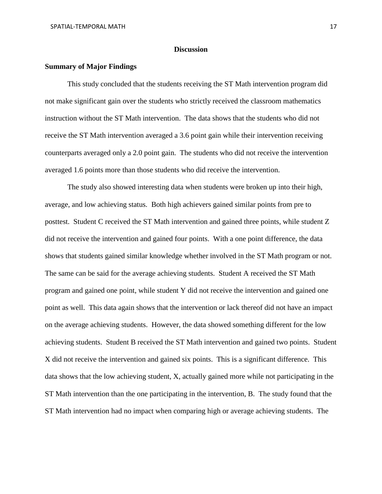### **Discussion**

# **Summary of Major Findings**

This study concluded that the students receiving the ST Math intervention program did not make significant gain over the students who strictly received the classroom mathematics instruction without the ST Math intervention. The data shows that the students who did not receive the ST Math intervention averaged a 3.6 point gain while their intervention receiving counterparts averaged only a 2.0 point gain. The students who did not receive the intervention averaged 1.6 points more than those students who did receive the intervention.

The study also showed interesting data when students were broken up into their high, average, and low achieving status. Both high achievers gained similar points from pre to posttest. Student C received the ST Math intervention and gained three points, while student Z did not receive the intervention and gained four points. With a one point difference, the data shows that students gained similar knowledge whether involved in the ST Math program or not. The same can be said for the average achieving students. Student A received the ST Math program and gained one point, while student Y did not receive the intervention and gained one point as well. This data again shows that the intervention or lack thereof did not have an impact on the average achieving students. However, the data showed something different for the low achieving students. Student B received the ST Math intervention and gained two points. Student X did not receive the intervention and gained six points. This is a significant difference. This data shows that the low achieving student, X, actually gained more while not participating in the ST Math intervention than the one participating in the intervention, B. The study found that the ST Math intervention had no impact when comparing high or average achieving students. The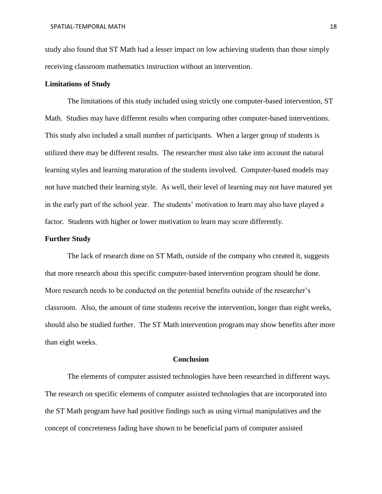study also found that ST Math had a lesser impact on low achieving students than those simply receiving classroom mathematics instruction without an intervention.

# **Limitations of Study**

The limitations of this study included using strictly one computer-based intervention, ST Math. Studies may have different results when comparing other computer-based interventions. This study also included a small number of participants. When a larger group of students is utilized there may be different results. The researcher must also take into account the natural learning styles and learning maturation of the students involved. Computer-based models may not have matched their learning style. As well, their level of learning may not have matured yet in the early part of the school year. The students' motivation to learn may also have played a factor. Students with higher or lower motivation to learn may score differently.

# **Further Study**

The lack of research done on ST Math, outside of the company who created it, suggests that more research about this specific computer-based intervention program should be done. More research needs to be conducted on the potential benefits outside of the researcher's classroom. Also, the amount of time students receive the intervention, longer than eight weeks, should also be studied further. The ST Math intervention program may show benefits after more than eight weeks.

### **Conclusion**

The elements of computer assisted technologies have been researched in different ways. The research on specific elements of computer assisted technologies that are incorporated into the ST Math program have had positive findings such as using virtual manipulatives and the concept of concreteness fading have shown to be beneficial parts of computer assisted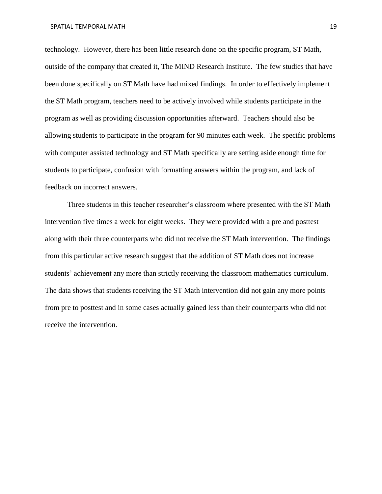technology. However, there has been little research done on the specific program, ST Math, outside of the company that created it, The MIND Research Institute. The few studies that have been done specifically on ST Math have had mixed findings. In order to effectively implement the ST Math program, teachers need to be actively involved while students participate in the program as well as providing discussion opportunities afterward. Teachers should also be allowing students to participate in the program for 90 minutes each week. The specific problems with computer assisted technology and ST Math specifically are setting aside enough time for students to participate, confusion with formatting answers within the program, and lack of feedback on incorrect answers.

Three students in this teacher researcher's classroom where presented with the ST Math intervention five times a week for eight weeks. They were provided with a pre and posttest along with their three counterparts who did not receive the ST Math intervention. The findings from this particular active research suggest that the addition of ST Math does not increase students' achievement any more than strictly receiving the classroom mathematics curriculum. The data shows that students receiving the ST Math intervention did not gain any more points from pre to posttest and in some cases actually gained less than their counterparts who did not receive the intervention.